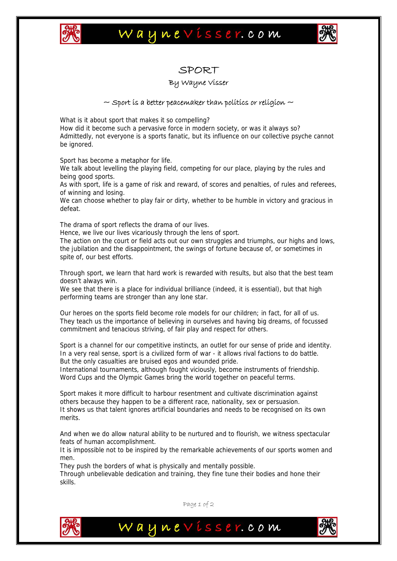

## Waynevisser.com



### SPORT

#### By Wayne Visser

#### $\sim$  Sport is a better peacemaker than politics or religion  $\sim$

What is it about sport that makes it so compelling?

How did it become such a pervasive force in modern society, or was it always so? Admittedly, not everyone is a sports fanatic, but its influence on our collective psyche cannot be ignored.

Sport has become a metaphor for life.

We talk about levelling the playing field, competing for our place, playing by the rules and being good sports.

As with sport, life is a game of risk and reward, of scores and penalties, of rules and referees, of winning and losing.

We can choose whether to play fair or dirty, whether to be humble in victory and gracious in defeat.

The drama of sport reflects the drama of our lives.

Hence, we live our lives vicariously through the lens of sport.

The action on the court or field acts out our own struggles and triumphs, our highs and lows, the jubilation and the disappointment, the swings of fortune because of, or sometimes in spite of, our best efforts.

Through sport, we learn that hard work is rewarded with results, but also that the best team doesn't always win.

We see that there is a place for individual brilliance (indeed, it is essential), but that high performing teams are stronger than any lone star.

Our heroes on the sports field become role models for our children; in fact, for all of us. They teach us the importance of believing in ourselves and having big dreams, of focussed commitment and tenacious striving, of fair play and respect for others.

Sport is a channel for our competitive instincts, an outlet for our sense of pride and identity. In a very real sense, sport is a civilized form of war - it allows rival factions to do battle. But the only casualties are bruised egos and wounded pride.

International tournaments, although fought viciously, become instruments of friendship. Word Cups and the Olympic Games bring the world together on peaceful terms.

Sport makes it more difficult to harbour resentment and cultivate discrimination against others because they happen to be a different race, nationality, sex or persuasion. It shows us that talent ignores artificial boundaries and needs to be recognised on its own merits.

And when we do allow natural ability to be nurtured and to flourish, we witness spectacular feats of human accomplishment.

It is impossible not to be inspired by the remarkable achievements of our sports women and men.

They push the borders of what is physically and mentally possible.

Through unbelievable dedication and training, they fine tune their bodies and hone their skills.



Page 1 of 2